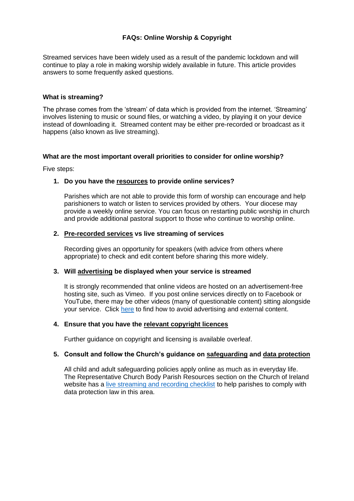# **FAQs: Online Worship & Copyright**

Streamed services have been widely used as a result of the pandemic lockdown and will continue to play a role in making worship widely available in future. This article provides answers to some frequently asked questions.

## **What is streaming?**

The phrase comes from the 'stream' of data which is provided from the internet. 'Streaming' involves listening to music or sound files, or watching a video, by playing it on your device instead of downloading it. Streamed content may be either pre-recorded or broadcast as it happens (also known as live streaming).

### **What are the most important overall priorities to consider for online worship?**

Five steps:

# **1. Do you have the resources to provide online services?**

Parishes which are not able to provide this form of worship can encourage and help parishioners to watch or listen to services provided by others. Your diocese may provide a weekly online service. You can focus on restarting public worship in church and provide additional pastoral support to those who continue to worship online.

### **2. Pre-recorded services vs live streaming of services**

Recording gives an opportunity for speakers (with advice from others where appropriate) to check and edit content before sharing this more widely.

#### **3. Will advertising be displayed when your service is streamed**

It is strongly recommended that online videos are hosted on an advertisement-free hosting site, such as Vimeo. If you post online services directly on to Facebook or YouTube, there may be other videos (many of questionable content) sitting alongside your service. Click [here](https://www.ireland.anglican.org/resources/626/covid19-avoiding-advertising-and-external) to find how to avoid advertising and external content.

#### **4. Ensure that you have the relevant copyright licences**

Further guidance on copyright and licensing is available overleaf.

# **5. Consult and follow the Church's guidance on safeguarding and data protection**

All child and adult safeguarding policies apply online as much as in everyday life. The Representative Church Body Parish Resources section on the Church of Ireland website has a [live streaming and recording checklist](https://www.ireland.anglican.org/cmsfiles/pdf/Resources/ParishResources/PeopleCommunity/Live-Streaming--Recording-Checklist.pdf) to help parishes to comply with data protection law in this area.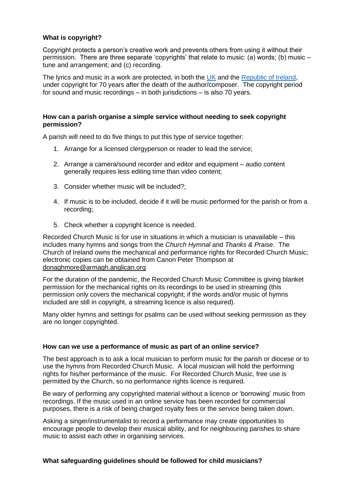## **What is copyright?**

Copyright protects a person's creative work and prevents others from using it without their permission. There are three separate 'copyrights' that relate to music: (a) words; (b) music – tune and arrangement; and (c) recording.

The lyrics and music in a work are protected, in both the [UK](https://www.gov.uk/copyright/how-long-copyright-lasts) and the [Republic of Ireland,](https://dbei.gov.ie/en/What-We-Do/Innovation-Research-Development/Intellectual-Property/Copyright) under copyright for 70 years after the death of the author/composer. The copyright period for sound and music recordings – in both jurisdictions – is also 70 years.

### **How can a parish organise a simple service without needing to seek copyright permission?**

A parish will need to do five things to put this type of service together:

- 1. Arrange for a licensed clergyperson or reader to lead the service;
- 2. Arrange a camera/sound recorder and editor and equipment audio content generally requires less editing time than video content;
- 3. Consider whether music will be included?;
- 4. If music is to be included, decide if it will be music performed for the parish or from a recording;
- 5. Check whether a copyright licence is needed.

Recorded Church Music is for use in situations in which a musician is unavailable – this includes many hymns and songs from the *Church Hymnal* and *Thanks & Praise*. The Church of Ireland owns the mechanical and performance rights for Recorded Church Music; electronic copies can be obtained from Canon Peter Thompson at [donaghmore@armagh.anglican.org](mailto:donaghmore@armagh.anglican.org)

For the duration of the pandemic, the Recorded Church Music Committee is giving blanket permission for the mechanical rights on its recordings to be used in streaming (this permission only covers the mechanical copyright; if the words and/or music of hymns included are still in copyright, a streaming licence is also required).

Many older hymns and settings for psalms can be used without seeking permission as they are no longer copyrighted.

# **How can we use a performance of music as part of an online service?**

The best approach is to ask a local musician to perform music for the parish or diocese or to use the hymns from Recorded Church Music. A local musician will hold the performing rights for his/her performance of the music. For Recorded Church Music, free use is permitted by the Church, so no performance rights licence is required.

Be wary of performing any copyrighted material without a licence or 'borrowing' music from recordings. If the music used in an online service has been recorded for commercial purposes, there is a risk of being charged royalty fees or the service being taken down.

Asking a singer/instrumentalist to record a performance may create opportunities to encourage people to develop their musical ability, and for neighbouring parishes to share music to assist each other in organising services.

#### **What safeguarding guidelines should be followed for child musicians?**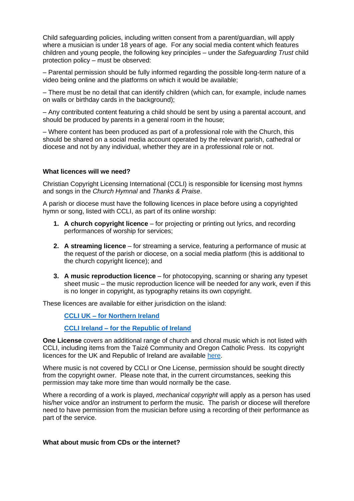Child safeguarding policies, including written consent from a parent/guardian, will apply where a musician is under 18 years of age. For any social media content which features children and young people, the following key principles – under the *Safeguarding Trust* child protection policy – must be observed:

– Parental permission should be fully informed regarding the possible long-term nature of a video being online and the platforms on which it would be available;

– There must be no detail that can identify children (which can, for example, include names on walls or birthday cards in the background);

– Any contributed content featuring a child should be sent by using a parental account, and should be produced by parents in a general room in the house;

– Where content has been produced as part of a professional role with the Church, this should be shared on a social media account operated by the relevant parish, cathedral or diocese and not by any individual, whether they are in a professional role or not.

### **What licences will we need?**

Christian Copyright Licensing International (CCLI) is responsible for licensing most hymns and songs in the *Church Hymnal* and *Thanks & Praise*.

A parish or diocese must have the following licences in place before using a copyrighted hymn or song, listed with CCLI, as part of its online worship:

- **1. A church copyright licence** for projecting or printing out lyrics, and recording performances of worship for services;
- **2. A streaming licence** for streaming a service, featuring a performance of music at the request of the parish or diocese, on a social media platform (this is additional to the church copyright licence); and
- **3. A music reproduction licence** for photocopying, scanning or sharing any typeset sheet music – the music reproduction licence will be needed for any work, even if this is no longer in copyright, as typography retains its own copyright.

These licences are available for either jurisdiction on the island:

# **CCLI UK – [for Northern Ireland](https://uk.ccli.com/copyright-licences/#church-licences)**

### **CCLI Ireland – [for the Republic of Ireland](https://ie.ccli.com/copyright-licences/#church-licences)**

**One License** covers an additional range of church and choral music which is not listed with CCLI, including items from the Taizé Community and Oregon Catholic Press. Its copyright licences for the UK and Republic of Ireland are available [here.](https://www.onelicense.net/options-and-prices)

Where music is not covered by CCLI or One License, permission should be sought directly from the copyright owner. Please note that, in the current circumstances, seeking this permission may take more time than would normally be the case.

Where a recording of a work is played, *mechanical copyright* will apply as a person has used his/her voice and/or an instrument to perform the music. The parish or diocese will therefore need to have permission from the musician before using a recording of their performance as part of the service.

#### **What about music from CDs or the internet?**